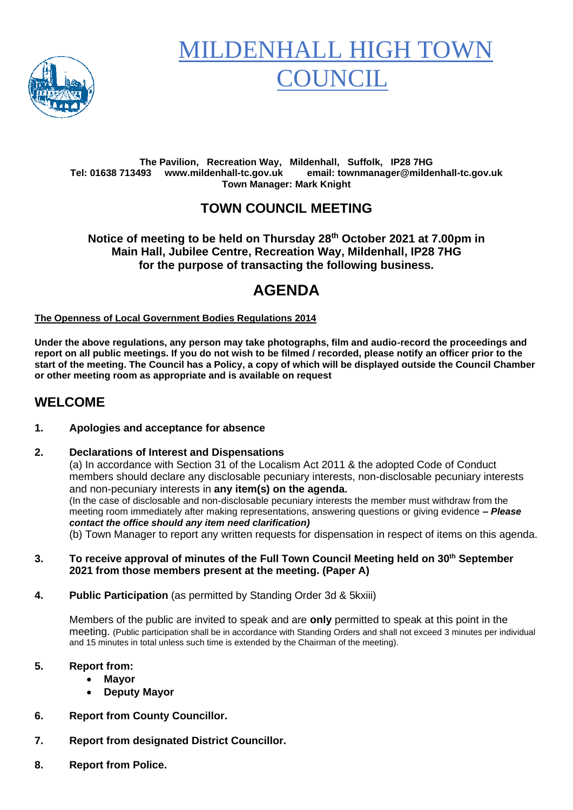

# **MILDENHALL HIGH TO OUNCIL**

#### **The Pavilion, Recreation Way, Mildenhall, Suffolk, IP28 7HG Tel: 01638 713493 www.mildenhall-tc.gov.uk email: townmanager@mildenhall-tc.gov.uk Town Manager: Mark Knight**

### **TOWN COUNCIL MEETING**

**Notice of meeting to be held on Thursday 28th October 2021 at 7.00pm in Main Hall, Jubilee Centre, Recreation Way, Mildenhall, IP28 7HG for the purpose of transacting the following business.**

# **AGENDA**

#### **The Openness of Local Government Bodies Regulations 2014**

**Under the above regulations, any person may take photographs, film and audio-record the proceedings and report on all public meetings. If you do not wish to be filmed / recorded, please notify an officer prior to the start of the meeting. The Council has a Policy, a copy of which will be displayed outside the Council Chamber or other meeting room as appropriate and is available on request**

### **WELCOME**

#### **1. Apologies and acceptance for absence**

#### **2. Declarations of Interest and Dispensations**

(a) In accordance with Section 31 of the Localism Act 2011 & the adopted Code of Conduct members should declare any disclosable pecuniary interests, non-disclosable pecuniary interests and non-pecuniary interests in **any item(s) on the agenda.** (In the case of disclosable and non-disclosable pecuniary interests the member must withdraw from the meeting room immediately after making representations, answering questions or giving evidence **–** *Please contact the office should any item need clarification)* (b) Town Manager to report any written requests for dispensation in respect of items on this agenda.

#### **3. To receive approval of minutes of the Full Town Council Meeting held on 30th September 2021 from those members present at the meeting. (Paper A)**

**4. Public Participation** (as permitted by Standing Order 3d & 5kxiii)

Members of the public are invited to speak and are **only** permitted to speak at this point in the meeting. (Public participation shall be in accordance with Standing Orders and shall not exceed 3 minutes per individual and 15 minutes in total unless such time is extended by the Chairman of the meeting).

#### **5. Report from:**

- **Mayor**
- **Deputy Mayor**
- **6. Report from County Councillor.**
- **7. Report from designated District Councillor.**
- **8. Report from Police.**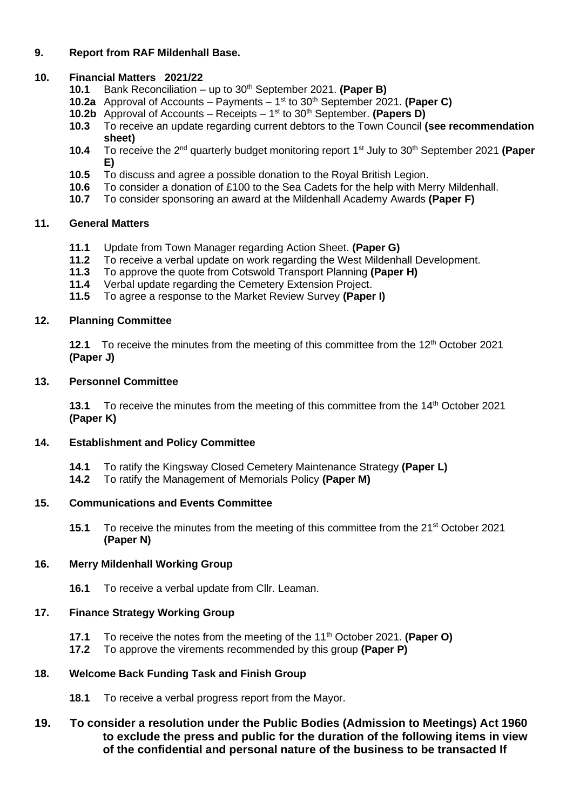#### **9. Report from RAF Mildenhall Base.**

#### **10. Financial Matters 2021/22**

- **10.1** Bank Reconciliation up to 30 th September 2021. **(Paper B)**
- **10.2a** Approval of Accounts Payments 1 st to 30th September 2021. **(Paper C)**
- 10.2b Approval of Accounts Receipts 1<sup>st</sup> to 30<sup>th</sup> September. (Papers D)
- **10.3** To receive an update regarding current debtors to the Town Council **(see recommendation sheet)**
- **10.4** To receive the 2nd quarterly budget monitoring report 1st July to 30th September 2021 **(Paper E)**
- **10.5** To discuss and agree a possible donation to the Royal British Legion.
- **10.6** To consider a donation of £100 to the Sea Cadets for the help with Merry Mildenhall.<br>**10.7** To consider sponsoring an award at the Mildenhall Academy Awards (Paper F)
- **10.7** To consider sponsoring an award at the Mildenhall Academy Awards **(Paper F)**

#### **11. General Matters**

- **11.1** Update from Town Manager regarding Action Sheet. **(Paper G)**
- **11.2** To receive a verbal update on work regarding the West Mildenhall Development.<br>**11.3** To approve the quote from Cotswold Transport Planning (Paper H)
- **11.3** To approve the quote from Cotswold Transport Planning **(Paper H)**
- **11.4** Verbal update regarding the Cemetery Extension Project.
- **11.5** To agree a response to the Market Review Survey **(Paper I)**

#### **12. Planning Committee**

**12.1** To receive the minutes from the meeting of this committee from the 12<sup>th</sup> October 2021 **(Paper J)**

#### **13. Personnel Committee**

13.1 To receive the minutes from the meeting of this committee from the 14<sup>th</sup> October 2021 **(Paper K)**

#### **14. Establishment and Policy Committee**

- **14.1** To ratify the Kingsway Closed Cemetery Maintenance Strategy **(Paper L)**
- **14.2** To ratify the Management of Memorials Policy **(Paper M)**

#### **15. Communications and Events Committee**

**15.1** To receive the minutes from the meeting of this committee from the 21<sup>st</sup> October 2021 **(Paper N)**

#### **16. Merry Mildenhall Working Group**

**16.1** To receive a verbal update from Cllr. Leaman.

#### **17. Finance Strategy Working Group**

- **17.1** To receive the notes from the meeting of the 11<sup>th</sup> October 2021. **(Paper O)**<br>**17.2** To approve the virements recommended by this group **(Paper P)**
- **17.2** To approve the virements recommended by this group **(Paper P)**

#### **18. Welcome Back Funding Task and Finish Group**

- **18.1** To receive a verbal progress report from the Mayor.
- **19. To consider a resolution under the Public Bodies (Admission to Meetings) Act 1960 to exclude the press and public for the duration of the following items in view of the confidential and personal nature of the business to be transacted If**